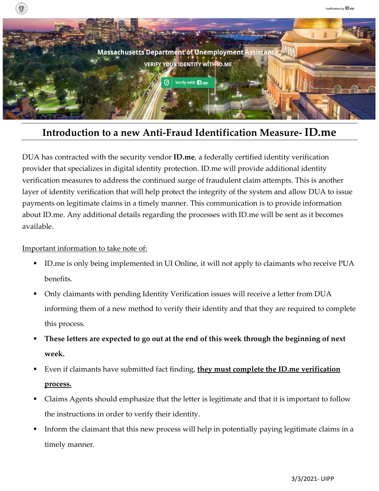

## **Introduction to a new Anti-Fraud Identification Measure- ID.me**

DUA has contracted with the security vendor **ID.me**, a federally certified identity verification provider that specializes in digital identity protection. ID.me will provide additional identity verification measures to address the continued surge of fraudulent claim attempts. This is another layer of identity verification that will help protect the integrity of the system and allow DUA to issue payments on legitimate claims in a timely manner. This communication is to provide information about ID.me. Any additional details regarding the processes with ID.me will be sent as it becomes available.

## Important information to take note of:

- ID.me is only being implemented in UI Online, it will not apply to claimants who receive PUA benefits.
- Only claimants with pending Identity Verification issues will receive a letter from DUA informing them of a new method to verify their identity and that they are required to complete this process.
- **These letters are expected to go out at the end of this week through the beginning of next week.**
- Even if claimants have submitted fact finding, **they must complete the ID.me verification process.**
- Claims Agents should emphasize that the letter is legitimate and that it is important to follow the instructions in order to verify their identity.
- Inform the claimant that this new process will help in potentially paying legitimate claims in a timely manner.